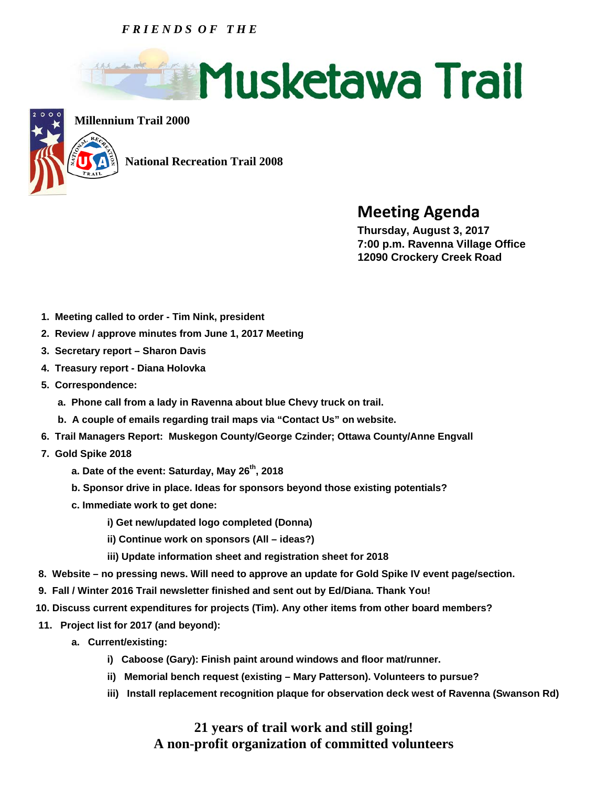## *F R I E N D S O F T H E*





**Millennium Trail 2000**

 **National Recreation Trail 2008** 

## **Meeting Agenda Thursday, August 3, 2017**

 **7:00 p.m. Ravenna Village Office 12090 Crockery Creek Road** 

- **1. Meeting called to order Tim Nink, president**
- **2. Review / approve minutes from June 1, 2017 Meeting**
- **3. Secretary report Sharon Davis**
- **4. Treasury report Diana Holovka**
- **5. Correspondence:** 
	- **a. Phone call from a lady in Ravenna about blue Chevy truck on trail.**
	- **b. A couple of emails regarding trail maps via "Contact Us" on website.**
- **6. Trail Managers Report: Muskegon County/George Czinder; Ottawa County/Anne Engvall**
- **7. Gold Spike 2018** 
	- **a. Date of the event: Saturday, May 26th, 2018**
	- **b. Sponsor drive in place. Ideas for sponsors beyond those existing potentials?**
	- **c. Immediate work to get done:** 
		- **i) Get new/updated logo completed (Donna)**
		- **ii) Continue work on sponsors (All ideas?)**
		- **iii) Update information sheet and registration sheet for 2018**
- **8. Website no pressing news. Will need to approve an update for Gold Spike IV event page/section.**
- **9. Fall / Winter 2016 Trail newsletter finished and sent out by Ed/Diana. Thank You!**
- **10. Discuss current expenditures for projects (Tim). Any other items from other board members?**
- **11. Project list for 2017 (and beyond):** 
	- **a. Current/existing:** 
		- **i) Caboose (Gary): Finish paint around windows and floor mat/runner.**
		- **ii) Memorial bench request (existing Mary Patterson). Volunteers to pursue?**
		- **iii) Install replacement recognition plaque for observation deck west of Ravenna (Swanson Rd)**

## **21 years of trail work and still going! A non-profit organization of committed volunteers**